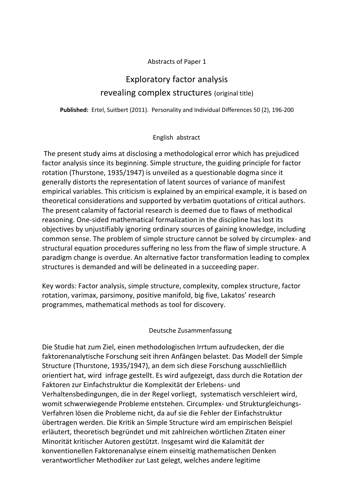## Abstracts of Paper 1

## Exploratory factor analysis revealing complex structures (original title)

**Published:** Ertel, Suitbert (2011). Personality and Individual Differences 50 (2), 196-200

## English abstract

The present study aims at disclosing a methodological error which has prejudiced factor analysis since its beginning. Simple structure, the guiding principle for factor rotation (Thurstone, 1935/1947) is unveiled as a questionable dogma since it generally distorts the representation of latent sources of variance of manifest empirical variables. This criticism is explained by an empirical example, it is based on theoretical considerations and supported by verbatim quotations of critical authors. The present calamity of factorial research is deemed due to flaws of methodical reasoning. One-sided mathematical formalization in the discipline has lost its objectives by unjustifiably ignoring ordinary sources of gaining knowledge, including common sense. The problem of simple structure cannot be solved by circumplex- and structural equation procedures suffering no less from the flaw of simple structure. A paradigm change is overdue. An alternative factor transformation leading to complex structures is demanded and will be delineated in a succeeding paper.

Key words: Factor analysis, simple structure, complexity, complex structure, factor rotation, varimax, parsimony, positive manifold, big five, Lakatos' research programmes, mathematical methods as tool for discovery.

## Deutsche Zusammenfassung

Die Studie hat zum Ziel, einen methodologischen Irrtum aufzudecken, der die faktorenanalytische Forschung seit ihren Anfängen belastet. Das Modell der Simple Structure (Thurstone, 1935/1947), an dem sich diese Forschung ausschließlich orientiert hat, wird infrage gestellt. Es wird aufgezeigt, dass durch die Rotation der Faktoren zur Einfachstruktur die Komplexität der Erlebens- und Verhaltensbedingungen, die in der Regel vorliegt, systematisch verschleiert wird, womit schwerwiegende Probleme entstehen. Circumplex- und Strukturgleichungs-Verfahren lösen die Probleme nicht, da auf sie die Fehler der Einfachstruktur übertragen werden. Die Kritik an Simple Structure wird am empirischen Beispiel erläutert, theoretisch begründet und mit zahlreichen wörtlichen Zitaten einer Minorität kritischer Autoren gestützt. Insgesamt wird die Kalamität der konventionellen Faktorenanalyse einem einseitig mathematischen Denken verantwortlicher Methodiker zur Last gelegt, welches andere legitime